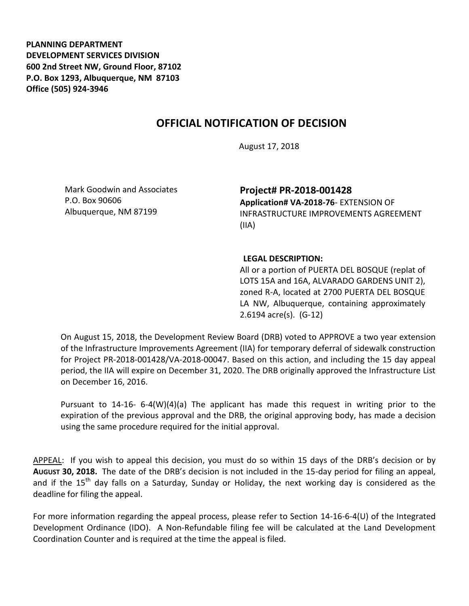**PLANNING DEPARTMENT DEVELOPMENT SERVICES DIVISION 600 2nd Street NW, Ground Floor, 87102 P.O. Box 1293, Albuquerque, NM 87103 Office (505) 924-3946** 

## **OFFICIAL NOTIFICATION OF DECISION**

August 17, 2018

Mark Goodwin and Associates P.O. Box 90606 Albuquerque, NM 87199

**Project# PR-2018-001428 Application# VA-2018-76**- EXTENSION OF INFRASTRUCTURE IMPROVEMENTS AGREEMENT

(IIA)

## **LEGAL DESCRIPTION:**

All or a portion of PUERTA DEL BOSQUE (replat of LOTS 15A and 16A, ALVARADO GARDENS UNIT 2), zoned R-A, located at 2700 PUERTA DEL BOSQUE LA NW, Albuquerque, containing approximately 2.6194 acre(s). (G-12)

On August 15, 2018, the Development Review Board (DRB) voted to APPROVE a two year extension of the Infrastructure Improvements Agreement (IIA) for temporary deferral of sidewalk construction for Project PR-2018-001428/VA-2018-00047. Based on this action, and including the 15 day appeal period, the IIA will expire on December 31, 2020. The DRB originally approved the Infrastructure List on December 16, 2016.

Pursuant to 14-16- 6-4(W)(4)(a) The applicant has made this request in writing prior to the expiration of the previous approval and the DRB, the original approving body, has made a decision using the same procedure required for the initial approval.

APPEAL: If you wish to appeal this decision, you must do so within 15 days of the DRB's decision or by **AUGUST 30, 2018.** The date of the DRB's decision is not included in the 15-day period for filing an appeal, and if the 15<sup>th</sup> day falls on a Saturday, Sunday or Holiday, the next working day is considered as the deadline for filing the appeal.

For more information regarding the appeal process, please refer to Section 14-16-6-4(U) of the Integrated Development Ordinance (IDO). A Non-Refundable filing fee will be calculated at the Land Development Coordination Counter and is required at the time the appeal is filed.